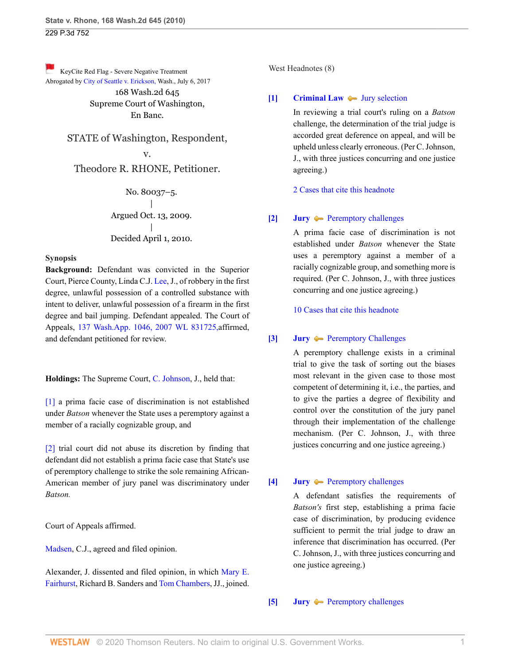[K](http://www.westlaw.com/Link/RelatedInformation/Flag?documentGuid=Ib7ec9b9b3da111dfae65b23e804c3c12&transitionType=Document&originationContext=docHeaderFlag&Rank=0&rs=cblt1.0&vr=3.0&contextData=(sc.UserEnteredCitation))eyCite Red Flag - Severe Negative Treatment Abrogated by [City of Seattle v. Erickson, W](https://www.westlaw.com/Document/If16b08a062d111e794a1f7ff5c621124/View/FullText.html?navigationPath=RelatedInfo%2Fv4%2Fkeycite%2Fnav%2F%3Fguid%3DIf16b08a062d111e794a1f7ff5c621124%26ss%3D2021664562%26ds%3D2042086277%26origDocGuid%3DIb7ec9b9b3da111dfae65b23e804c3c12&listSource=RelatedInfo&list=NegativeCitingReferences&rank=0&originationContext=docHeader&transitionType=NegativeTreatment&contextData=%28sc.UserEnteredCitation%29&VR=3.0&RS=cblt1.0 )ash., July 6, 2017 168 Wash.2d 645 Supreme Court of Washington, En Banc.

> STATE of Washington, Respondent, v. Theodore R. RHONE, Petitioner.

> > No. 80037–5. | Argued Oct. 13, 2009. | Decided April 1, 2010.

### **Synopsis**

**Background:** Defendant was convicted in the Superior Court, Pierce County, Linda C.J. [Lee,](http://www.westlaw.com/Link/Document/FullText?findType=h&pubNum=176284&cite=0321440301&originatingDoc=Ib7ec9b9b3da111dfae65b23e804c3c12&refType=RQ&originationContext=document&vr=3.0&rs=cblt1.0&transitionType=DocumentItem&contextData=(sc.UserEnteredCitation)) J., of robbery in the first degree, unlawful possession of a controlled substance with intent to deliver, unlawful possession of a firearm in the first degree and bail jumping. Defendant appealed. The Court of Appeals, [137 Wash.App. 1046, 2007 WL 831725,](http://www.westlaw.com/Link/Document/FullText?findType=Y&serNum=2011726785&pubNum=800&originatingDoc=Ib7ec9b9b3da111dfae65b23e804c3c12&refType=RP&originationContext=document&vr=3.0&rs=cblt1.0&transitionType=DocumentItem&contextData=(sc.UserEnteredCitation))affirmed, and defendant petitioned for review.

**Holdings:** The Supreme Court, [C. Johnson](http://www.westlaw.com/Link/Document/FullText?findType=h&pubNum=176284&cite=0234533401&originatingDoc=Ib7ec9b9b3da111dfae65b23e804c3c12&refType=RQ&originationContext=document&vr=3.0&rs=cblt1.0&transitionType=DocumentItem&contextData=(sc.UserEnteredCitation)), J., held that:

[\[1\]](#page-0-0) a prima facie case of discrimination is not established under *Batson* whenever the State uses a peremptory against a member of a racially cognizable group, and

[\[2\]](#page-1-0) trial court did not abuse its discretion by finding that defendant did not establish a prima facie case that State's use of peremptory challenge to strike the sole remaining African-American member of jury panel was discriminatory under *Batson.*

Court of Appeals affirmed.

[Madsen,](http://www.westlaw.com/Link/Document/FullText?findType=h&pubNum=176284&cite=0126244901&originatingDoc=Ib7ec9b9b3da111dfae65b23e804c3c12&refType=RQ&originationContext=document&vr=3.0&rs=cblt1.0&transitionType=DocumentItem&contextData=(sc.UserEnteredCitation)) C.J., agreed and filed opinion.

Alexander, J. dissented and filed opinion, in which [Mary E.](http://www.westlaw.com/Link/Document/FullText?findType=h&pubNum=176284&cite=0190551101&originatingDoc=Ib7ec9b9b3da111dfae65b23e804c3c12&refType=RQ&originationContext=document&vr=3.0&rs=cblt1.0&transitionType=DocumentItem&contextData=(sc.UserEnteredCitation)) [Fairhurst](http://www.westlaw.com/Link/Document/FullText?findType=h&pubNum=176284&cite=0190551101&originatingDoc=Ib7ec9b9b3da111dfae65b23e804c3c12&refType=RQ&originationContext=document&vr=3.0&rs=cblt1.0&transitionType=DocumentItem&contextData=(sc.UserEnteredCitation)), Richard B. Sanders and [Tom Chambers](http://www.westlaw.com/Link/Document/FullText?findType=h&pubNum=176284&cite=0258907301&originatingDoc=Ib7ec9b9b3da111dfae65b23e804c3c12&refType=RQ&originationContext=document&vr=3.0&rs=cblt1.0&transitionType=DocumentItem&contextData=(sc.UserEnteredCitation)), JJ., joined. West Headnotes (8)

## <span id="page-0-1"></span>**[\[1\]](#page-3-0) [Criminal Law](http://www.westlaw.com/Browse/Home/KeyNumber/110/View.html?docGuid=Ib7ec9b9b3da111dfae65b23e804c3c12&originationContext=document&vr=3.0&rs=cblt1.0&transitionType=DocumentItem&contextData=(sc.UserEnteredCitation))**  $\bullet$  [Jury selection](http://www.westlaw.com/Browse/Home/KeyNumber/110k1158.17/View.html?docGuid=Ib7ec9b9b3da111dfae65b23e804c3c12&originationContext=document&vr=3.0&rs=cblt1.0&transitionType=DocumentItem&contextData=(sc.UserEnteredCitation))

In reviewing a trial court's ruling on a *Batson* challenge, the determination of the trial judge is accorded great deference on appeal, and will be upheld unless clearly erroneous. (Per C. Johnson, J., with three justices concurring and one justice agreeing.)

[2 Cases that cite this headnote](http://www.westlaw.com/Link/RelatedInformation/DocHeadnoteLink?docGuid=Ib7ec9b9b3da111dfae65b23e804c3c12&headnoteId=202166456200120180702102153&originationContext=document&vr=3.0&rs=cblt1.0&transitionType=CitingReferences&contextData=(sc.UserEnteredCitation))

# <span id="page-0-0"></span>**[\[2\]](#page-3-1) [Jury](http://www.westlaw.com/Browse/Home/KeyNumber/230/View.html?docGuid=Ib7ec9b9b3da111dfae65b23e804c3c12&originationContext=document&vr=3.0&rs=cblt1.0&transitionType=DocumentItem&contextData=(sc.UserEnteredCitation))**  $\rightarrow$  [Peremptory challenges](http://www.westlaw.com/Browse/Home/KeyNumber/230k33(5.15)/View.html?docGuid=Ib7ec9b9b3da111dfae65b23e804c3c12&originationContext=document&vr=3.0&rs=cblt1.0&transitionType=DocumentItem&contextData=(sc.UserEnteredCitation))

A prima facie case of discrimination is not established under *Batson* whenever the State uses a peremptory against a member of a racially cognizable group, and something more is required. (Per C. Johnson, J., with three justices concurring and one justice agreeing.)

[10 Cases that cite this headnote](http://www.westlaw.com/Link/RelatedInformation/DocHeadnoteLink?docGuid=Ib7ec9b9b3da111dfae65b23e804c3c12&headnoteId=202166456200220180702102153&originationContext=document&vr=3.0&rs=cblt1.0&transitionType=CitingReferences&contextData=(sc.UserEnteredCitation))

## <span id="page-0-2"></span>**[\[3\]](#page-3-2) [Jury](http://www.westlaw.com/Browse/Home/KeyNumber/230/View.html?docGuid=Ib7ec9b9b3da111dfae65b23e804c3c12&originationContext=document&vr=3.0&rs=cblt1.0&transitionType=DocumentItem&contextData=(sc.UserEnteredCitation))**  $\rightarrow$  [Peremptory Challenges](http://www.westlaw.com/Browse/Home/KeyNumber/230k134/View.html?docGuid=Ib7ec9b9b3da111dfae65b23e804c3c12&originationContext=document&vr=3.0&rs=cblt1.0&transitionType=DocumentItem&contextData=(sc.UserEnteredCitation))

A peremptory challenge exists in a criminal trial to give the task of sorting out the biases most relevant in the given case to those most competent of determining it, i.e., the parties, and to give the parties a degree of flexibility and control over the constitution of the jury panel through their implementation of the challenge mechanism. (Per C. Johnson, J., with three justices concurring and one justice agreeing.)

## <span id="page-0-3"></span>**[\[4\]](#page-4-0) [Jury](http://www.westlaw.com/Browse/Home/KeyNumber/230/View.html?docGuid=Ib7ec9b9b3da111dfae65b23e804c3c12&originationContext=document&vr=3.0&rs=cblt1.0&transitionType=DocumentItem&contextData=(sc.UserEnteredCitation)) [Peremptory challenges](http://www.westlaw.com/Browse/Home/KeyNumber/230k33(5.15)/View.html?docGuid=Ib7ec9b9b3da111dfae65b23e804c3c12&originationContext=document&vr=3.0&rs=cblt1.0&transitionType=DocumentItem&contextData=(sc.UserEnteredCitation))**

A defendant satisfies the requirements of *Batson's* first step, establishing a prima facie case of discrimination, by producing evidence sufficient to permit the trial judge to draw an inference that discrimination has occurred. (Per C. Johnson, J., with three justices concurring and one justice agreeing.)

<span id="page-0-4"></span>**[\[5\]](#page-4-1) [Jury](http://www.westlaw.com/Browse/Home/KeyNumber/230/View.html?docGuid=Ib7ec9b9b3da111dfae65b23e804c3c12&originationContext=document&vr=3.0&rs=cblt1.0&transitionType=DocumentItem&contextData=(sc.UserEnteredCitation)) A** [Peremptory challenges](http://www.westlaw.com/Browse/Home/KeyNumber/230k33(5.15)/View.html?docGuid=Ib7ec9b9b3da111dfae65b23e804c3c12&originationContext=document&vr=3.0&rs=cblt1.0&transitionType=DocumentItem&contextData=(sc.UserEnteredCitation))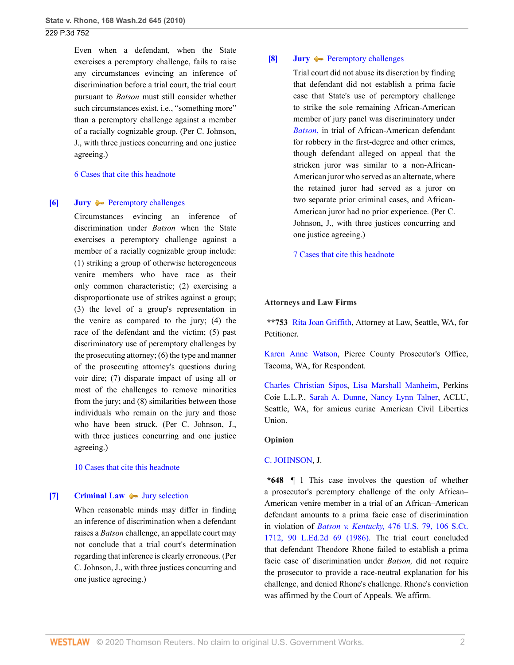Even when a defendant, when the State exercises a peremptory challenge, fails to raise any circumstances evincing an inference of discrimination before a trial court, the trial court pursuant to *Batson* must still consider whether such circumstances exist, i.e., "something more" than a peremptory challenge against a member of a racially cognizable group. (Per C. Johnson, J., with three justices concurring and one justice agreeing.)

[6 Cases that cite this headnote](http://www.westlaw.com/Link/RelatedInformation/DocHeadnoteLink?docGuid=Ib7ec9b9b3da111dfae65b23e804c3c12&headnoteId=202166456200520180702102153&originationContext=document&vr=3.0&rs=cblt1.0&transitionType=CitingReferences&contextData=(sc.UserEnteredCitation))

### <span id="page-1-1"></span>**[\[6\]](#page-4-2) [Jury](http://www.westlaw.com/Browse/Home/KeyNumber/230/View.html?docGuid=Ib7ec9b9b3da111dfae65b23e804c3c12&originationContext=document&vr=3.0&rs=cblt1.0&transitionType=DocumentItem&contextData=(sc.UserEnteredCitation)) A** [Peremptory challenges](http://www.westlaw.com/Browse/Home/KeyNumber/230k33(5.15)/View.html?docGuid=Ib7ec9b9b3da111dfae65b23e804c3c12&originationContext=document&vr=3.0&rs=cblt1.0&transitionType=DocumentItem&contextData=(sc.UserEnteredCitation))

Circumstances evincing an inference of discrimination under *Batson* when the State exercises a peremptory challenge against a member of a racially cognizable group include: (1) striking a group of otherwise heterogeneous venire members who have race as their only common characteristic; (2) exercising a disproportionate use of strikes against a group; (3) the level of a group's representation in the venire as compared to the jury; (4) the race of the defendant and the victim; (5) past discriminatory use of peremptory challenges by the prosecuting attorney; (6) the type and manner of the prosecuting attorney's questions during voir dire; (7) disparate impact of using all or most of the challenges to remove minorities from the jury; and (8) similarities between those individuals who remain on the jury and those who have been struck. (Per C. Johnson, J., with three justices concurring and one justice agreeing.)

[10 Cases that cite this headnote](http://www.westlaw.com/Link/RelatedInformation/DocHeadnoteLink?docGuid=Ib7ec9b9b3da111dfae65b23e804c3c12&headnoteId=202166456200620180702102153&originationContext=document&vr=3.0&rs=cblt1.0&transitionType=CitingReferences&contextData=(sc.UserEnteredCitation))

#### <span id="page-1-2"></span>**[\[7\]](#page-5-0) [Criminal Law](http://www.westlaw.com/Browse/Home/KeyNumber/110/View.html?docGuid=Ib7ec9b9b3da111dfae65b23e804c3c12&originationContext=document&vr=3.0&rs=cblt1.0&transitionType=DocumentItem&contextData=(sc.UserEnteredCitation))**  $\rightarrow$  [Jury selection](http://www.westlaw.com/Browse/Home/KeyNumber/110k1158.17/View.html?docGuid=Ib7ec9b9b3da111dfae65b23e804c3c12&originationContext=document&vr=3.0&rs=cblt1.0&transitionType=DocumentItem&contextData=(sc.UserEnteredCitation))

When reasonable minds may differ in finding an inference of discrimination when a defendant raises a *Batson* challenge, an appellate court may not conclude that a trial court's determination regarding that inference is clearly erroneous. (Per C. Johnson, J., with three justices concurring and one justice agreeing.)

### <span id="page-1-0"></span>**[\[8\]](#page-5-1) [Jury](http://www.westlaw.com/Browse/Home/KeyNumber/230/View.html?docGuid=Ib7ec9b9b3da111dfae65b23e804c3c12&originationContext=document&vr=3.0&rs=cblt1.0&transitionType=DocumentItem&contextData=(sc.UserEnteredCitation))**  $\rightarrow$  [Peremptory challenges](http://www.westlaw.com/Browse/Home/KeyNumber/230k33(5.15)/View.html?docGuid=Ib7ec9b9b3da111dfae65b23e804c3c12&originationContext=document&vr=3.0&rs=cblt1.0&transitionType=DocumentItem&contextData=(sc.UserEnteredCitation))

Trial court did not abuse its discretion by finding that defendant did not establish a prima facie case that State's use of peremptory challenge to strike the sole remaining African-American member of jury panel was discriminatory under *[Batson](http://www.westlaw.com/Link/Document/FullText?findType=Y&serNum=1986122459&originatingDoc=Ib7ec9b9b3da111dfae65b23e804c3c12&refType=RP&originationContext=document&vr=3.0&rs=cblt1.0&transitionType=DocumentItem&contextData=(sc.UserEnteredCitation))*, in trial of African-American defendant for robbery in the first-degree and other crimes, though defendant alleged on appeal that the stricken juror was similar to a non-African-American juror who served as an alternate, where the retained juror had served as a juror on two separate prior criminal cases, and African-American juror had no prior experience. (Per C. Johnson, J., with three justices concurring and one justice agreeing.)

[7 Cases that cite this headnote](http://www.westlaw.com/Link/RelatedInformation/DocHeadnoteLink?docGuid=Ib7ec9b9b3da111dfae65b23e804c3c12&headnoteId=202166456200820180702102153&originationContext=document&vr=3.0&rs=cblt1.0&transitionType=CitingReferences&contextData=(sc.UserEnteredCitation))

#### **Attorneys and Law Firms**

**\*\*753** [Rita Joan Griffith,](http://www.westlaw.com/Link/Document/FullText?findType=h&pubNum=176284&cite=0290585001&originatingDoc=Ib7ec9b9b3da111dfae65b23e804c3c12&refType=RQ&originationContext=document&vr=3.0&rs=cblt1.0&transitionType=DocumentItem&contextData=(sc.UserEnteredCitation)) Attorney at Law, Seattle, WA, for Petitioner.

[Karen Anne Watson](http://www.westlaw.com/Link/Document/FullText?findType=h&pubNum=176284&cite=0262324401&originatingDoc=Ib7ec9b9b3da111dfae65b23e804c3c12&refType=RQ&originationContext=document&vr=3.0&rs=cblt1.0&transitionType=DocumentItem&contextData=(sc.UserEnteredCitation)), Pierce County Prosecutor's Office, Tacoma, WA, for Respondent.

[Charles Christian Sipos,](http://www.westlaw.com/Link/Document/FullText?findType=h&pubNum=176284&cite=0306287501&originatingDoc=Ib7ec9b9b3da111dfae65b23e804c3c12&refType=RQ&originationContext=document&vr=3.0&rs=cblt1.0&transitionType=DocumentItem&contextData=(sc.UserEnteredCitation)) [Lisa Marshall Manheim,](http://www.westlaw.com/Link/Document/FullText?findType=h&pubNum=176284&cite=0391515401&originatingDoc=Ib7ec9b9b3da111dfae65b23e804c3c12&refType=RQ&originationContext=document&vr=3.0&rs=cblt1.0&transitionType=DocumentItem&contextData=(sc.UserEnteredCitation)) Perkins Coie L.L.P., [Sarah A. Dunne](http://www.westlaw.com/Link/Document/FullText?findType=h&pubNum=176284&cite=0344684301&originatingDoc=Ib7ec9b9b3da111dfae65b23e804c3c12&refType=RQ&originationContext=document&vr=3.0&rs=cblt1.0&transitionType=DocumentItem&contextData=(sc.UserEnteredCitation)), [Nancy Lynn Talner,](http://www.westlaw.com/Link/Document/FullText?findType=h&pubNum=176284&cite=0278120001&originatingDoc=Ib7ec9b9b3da111dfae65b23e804c3c12&refType=RQ&originationContext=document&vr=3.0&rs=cblt1.0&transitionType=DocumentItem&contextData=(sc.UserEnteredCitation)) ACLU, Seattle, WA, for amicus curiae American Civil Liberties Union.

#### **Opinion**

#### [C. JOHNSON](http://www.westlaw.com/Link/Document/FullText?findType=h&pubNum=176284&cite=0234533401&originatingDoc=Ib7ec9b9b3da111dfae65b23e804c3c12&refType=RQ&originationContext=document&vr=3.0&rs=cblt1.0&transitionType=DocumentItem&contextData=(sc.UserEnteredCitation)), J.

**\*648** ¶ 1 This case involves the question of whether a prosecutor's peremptory challenge of the only African– American venire member in a trial of an African–American defendant amounts to a prima facie case of discrimination in violation of *Batson v. Kentucky,* [476 U.S. 79, 106 S.Ct.](http://www.westlaw.com/Link/Document/FullText?findType=Y&serNum=1986122459&pubNum=0000708&originatingDoc=Ib7ec9b9b3da111dfae65b23e804c3c12&refType=RP&originationContext=document&vr=3.0&rs=cblt1.0&transitionType=DocumentItem&contextData=(sc.UserEnteredCitation)) [1712, 90 L.Ed.2d 69 \(1986\)](http://www.westlaw.com/Link/Document/FullText?findType=Y&serNum=1986122459&pubNum=0000708&originatingDoc=Ib7ec9b9b3da111dfae65b23e804c3c12&refType=RP&originationContext=document&vr=3.0&rs=cblt1.0&transitionType=DocumentItem&contextData=(sc.UserEnteredCitation)). The trial court concluded that defendant Theodore Rhone failed to establish a prima facie case of discrimination under *Batson,* did not require the prosecutor to provide a race-neutral explanation for his challenge, and denied Rhone's challenge. Rhone's conviction was affirmed by the Court of Appeals. We affirm.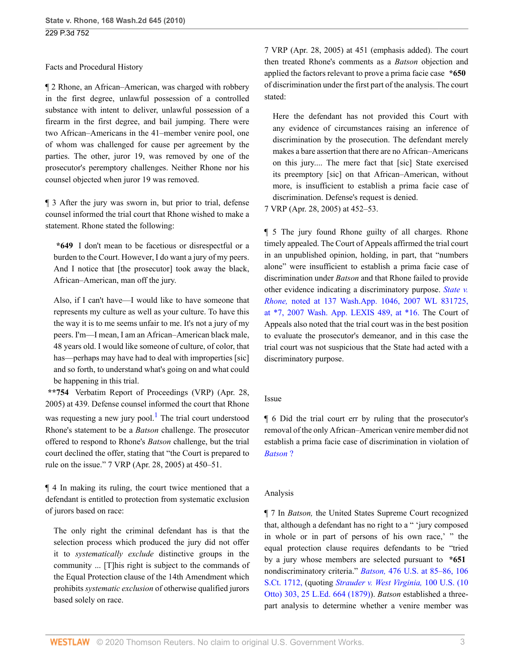## Facts and Procedural History

¶ 2 Rhone, an African–American, was charged with robbery in the first degree, unlawful possession of a controlled substance with intent to deliver, unlawful possession of a firearm in the first degree, and bail jumping. There were two African–Americans in the 41–member venire pool, one of whom was challenged for cause per agreement by the parties. The other, juror 19, was removed by one of the prosecutor's peremptory challenges. Neither Rhone nor his counsel objected when juror 19 was removed.

¶ 3 After the jury was sworn in, but prior to trial, defense counsel informed the trial court that Rhone wished to make a statement. Rhone stated the following:

**\*649** I don't mean to be facetious or disrespectful or a burden to the Court. However, I do want a jury of my peers. And I notice that [the prosecutor] took away the black, African–American, man off the jury.

Also, if I can't have—I would like to have someone that represents my culture as well as your culture. To have this the way it is to me seems unfair to me. It's not a jury of my peers. I'm—I mean, I am an African–American black male, 48 years old. I would like someone of culture, of color, that has—perhaps may have had to deal with improperties [sic] and so forth, to understand what's going on and what could be happening in this trial.

**\*\*754** Verbatim Report of Proceedings (VRP) (Apr. 28, 2005) at 439. Defense counsel informed the court that Rhone was requesting a new jury pool.<sup>[1](#page-8-0)</sup> The trial court understood Rhone's statement to be a *Batson* challenge. The prosecutor offered to respond to Rhone's *Batson* challenge, but the trial court declined the offer, stating that "the Court is prepared to rule on the issue." 7 VRP (Apr. 28, 2005) at 450–51.

¶ 4 In making its ruling, the court twice mentioned that a defendant is entitled to protection from systematic exclusion of jurors based on race:

The only right the criminal defendant has is that the selection process which produced the jury did not offer it to *systematically exclude* distinctive groups in the community ... [T]his right is subject to the commands of the Equal Protection clause of the 14th Amendment which prohibits *systematic exclusion* of otherwise qualified jurors based solely on race.

7 VRP (Apr. 28, 2005) at 451 (emphasis added). The court then treated Rhone's comments as a *Batson* objection and applied the factors relevant to prove a prima facie case **\*650** of discrimination under the first part of the analysis. The court stated:

Here the defendant has not provided this Court with any evidence of circumstances raising an inference of discrimination by the prosecution. The defendant merely makes a bare assertion that there are no African–Americans on this jury.... The mere fact that [sic] State exercised its preemptory [sic] on that African–American, without more, is insufficient to establish a prima facie case of discrimination. Defense's request is denied.

7 VRP (Apr. 28, 2005) at 452–53.

¶ 5 The jury found Rhone guilty of all charges. Rhone timely appealed. The Court of Appeals affirmed the trial court in an unpublished opinion, holding, in part, that "numbers alone" were insufficient to establish a prima facie case of discrimination under *Batson* and that Rhone failed to provide other evidence indicating a discriminatory purpose. *[State v.](http://www.westlaw.com/Link/Document/FullText?findType=Y&serNum=2011726785&pubNum=999&originatingDoc=Ib7ec9b9b3da111dfae65b23e804c3c12&refType=RP&originationContext=document&vr=3.0&rs=cblt1.0&transitionType=DocumentItem&contextData=(sc.UserEnteredCitation)) Rhone,* [noted at 137 Wash.App. 1046, 2007 WL 831725,](http://www.westlaw.com/Link/Document/FullText?findType=Y&serNum=2011726785&pubNum=999&originatingDoc=Ib7ec9b9b3da111dfae65b23e804c3c12&refType=RP&originationContext=document&vr=3.0&rs=cblt1.0&transitionType=DocumentItem&contextData=(sc.UserEnteredCitation)) [at \\*7, 2007 Wash. App. LEXIS 489, at \\*16.](http://www.westlaw.com/Link/Document/FullText?findType=Y&serNum=2011726785&pubNum=999&originatingDoc=Ib7ec9b9b3da111dfae65b23e804c3c12&refType=RP&originationContext=document&vr=3.0&rs=cblt1.0&transitionType=DocumentItem&contextData=(sc.UserEnteredCitation)) The Court of Appeals also noted that the trial court was in the best position to evaluate the prosecutor's demeanor, and in this case the trial court was not suspicious that the State had acted with a discriminatory purpose.

## Issue

<span id="page-2-0"></span>¶ 6 Did the trial court err by ruling that the prosecutor's removal of the only African–American venire member did not establish a prima facie case of discrimination in violation of *[Batson](http://www.westlaw.com/Link/Document/FullText?findType=Y&serNum=1986122459&originatingDoc=Ib7ec9b9b3da111dfae65b23e804c3c12&refType=RP&originationContext=document&vr=3.0&rs=cblt1.0&transitionType=DocumentItem&contextData=(sc.UserEnteredCitation))* ?

## Analysis

¶ 7 In *Batson,* the United States Supreme Court recognized that, although a defendant has no right to a " 'jury composed in whole or in part of persons of his own race,' " the equal protection clause requires defendants to be "tried by a jury whose members are selected pursuant to **\*651** nondiscriminatory criteria." *Batson,* [476 U.S. at 85–86, 106](http://www.westlaw.com/Link/Document/FullText?findType=Y&serNum=1986122459&pubNum=708&originatingDoc=Ib7ec9b9b3da111dfae65b23e804c3c12&refType=RP&originationContext=document&vr=3.0&rs=cblt1.0&transitionType=DocumentItem&contextData=(sc.UserEnteredCitation)) [S.Ct. 1712,](http://www.westlaw.com/Link/Document/FullText?findType=Y&serNum=1986122459&pubNum=708&originatingDoc=Ib7ec9b9b3da111dfae65b23e804c3c12&refType=RP&originationContext=document&vr=3.0&rs=cblt1.0&transitionType=DocumentItem&contextData=(sc.UserEnteredCitation)) (quoting *[Strauder v. West Virginia,](http://www.westlaw.com/Link/Document/FullText?findType=Y&serNum=1800132385&pubNum=780&originatingDoc=Ib7ec9b9b3da111dfae65b23e804c3c12&refType=RP&originationContext=document&vr=3.0&rs=cblt1.0&transitionType=DocumentItem&contextData=(sc.UserEnteredCitation))* 100 U.S. (10 [Otto\) 303, 25 L.Ed. 664 \(1879\)](http://www.westlaw.com/Link/Document/FullText?findType=Y&serNum=1800132385&pubNum=780&originatingDoc=Ib7ec9b9b3da111dfae65b23e804c3c12&refType=RP&originationContext=document&vr=3.0&rs=cblt1.0&transitionType=DocumentItem&contextData=(sc.UserEnteredCitation))). *Batson* established a threepart analysis to determine whether a venire member was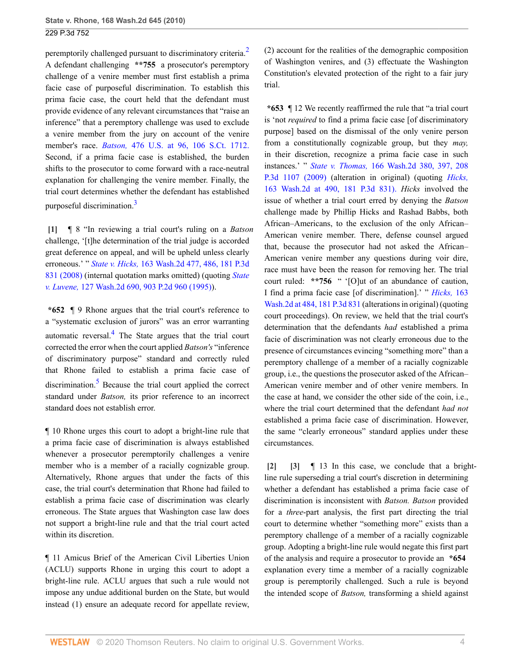peremptorily challenged pursuant to discriminatory criteria.<sup>[2](#page-8-1)</sup> A defendant challenging **\*\*755** a prosecutor's peremptory challenge of a venire member must first establish a prima facie case of purposeful discrimination. To establish this prima facie case, the court held that the defendant must provide evidence of any relevant circumstances that "raise an inference" that a peremptory challenge was used to exclude a venire member from the jury on account of the venire member's race. *Batson,* [476 U.S. at 96, 106 S.Ct. 1712.](http://www.westlaw.com/Link/Document/FullText?findType=Y&serNum=1986122459&pubNum=708&originatingDoc=Ib7ec9b9b3da111dfae65b23e804c3c12&refType=RP&originationContext=document&vr=3.0&rs=cblt1.0&transitionType=DocumentItem&contextData=(sc.UserEnteredCitation)) Second, if a prima facie case is established, the burden shifts to the prosecutor to come forward with a race-neutral explanation for challenging the venire member. Finally, the trial court determines whether the defendant has established purposeful discrimination.<sup>[3](#page-8-2)</sup>

<span id="page-3-4"></span><span id="page-3-0"></span>**[\[1\]](#page-0-1)** ¶ 8 "In reviewing a trial court's ruling on a *Batson* challenge, '[t]he determination of the trial judge is accorded great deference on appeal, and will be upheld unless clearly erroneous.' " *State v. Hicks,* [163 Wash.2d 477, 486, 181 P.3d](http://www.westlaw.com/Link/Document/FullText?findType=Y&serNum=2015870376&pubNum=0004645&originatingDoc=Ib7ec9b9b3da111dfae65b23e804c3c12&refType=RP&originationContext=document&vr=3.0&rs=cblt1.0&transitionType=DocumentItem&contextData=(sc.UserEnteredCitation)) [831 \(2008\)](http://www.westlaw.com/Link/Document/FullText?findType=Y&serNum=2015870376&pubNum=0004645&originatingDoc=Ib7ec9b9b3da111dfae65b23e804c3c12&refType=RP&originationContext=document&vr=3.0&rs=cblt1.0&transitionType=DocumentItem&contextData=(sc.UserEnteredCitation)) (internal quotation marks omitted) (quoting *[State](http://www.westlaw.com/Link/Document/FullText?findType=Y&serNum=1995204104&pubNum=0000661&originatingDoc=Ib7ec9b9b3da111dfae65b23e804c3c12&refType=RP&originationContext=document&vr=3.0&rs=cblt1.0&transitionType=DocumentItem&contextData=(sc.UserEnteredCitation)) v. Luvene,* [127 Wash.2d 690, 903 P.2d 960 \(1995\)](http://www.westlaw.com/Link/Document/FullText?findType=Y&serNum=1995204104&pubNum=0000661&originatingDoc=Ib7ec9b9b3da111dfae65b23e804c3c12&refType=RP&originationContext=document&vr=3.0&rs=cblt1.0&transitionType=DocumentItem&contextData=(sc.UserEnteredCitation))).

<span id="page-3-5"></span>**\*652** ¶ 9 Rhone argues that the trial court's reference to a "systematic exclusion of jurors" was an error warranting automatic reversal.<sup>[4](#page-8-3)</sup> The State argues that the trial court corrected the error when the court applied *Batson's* "inference of discriminatory purpose" standard and correctly ruled that Rhone failed to establish a prima facie case of discrimination.<sup>[5](#page-8-4)</sup> Because the trial court applied the correct standard under *Batson,* its prior reference to an incorrect standard does not establish error.

<span id="page-3-6"></span>¶ 10 Rhone urges this court to adopt a bright-line rule that a prima facie case of discrimination is always established whenever a prosecutor peremptorily challenges a venire member who is a member of a racially cognizable group. Alternatively, Rhone argues that under the facts of this case, the trial court's determination that Rhone had failed to establish a prima facie case of discrimination was clearly erroneous. The State argues that Washington case law does not support a bright-line rule and that the trial court acted within its discretion.

¶ 11 Amicus Brief of the American Civil Liberties Union (ACLU) supports Rhone in urging this court to adopt a bright-line rule. ACLU argues that such a rule would not impose any undue additional burden on the State, but would instead (1) ensure an adequate record for appellate review,

<span id="page-3-3"></span>(2) account for the realities of the demographic composition of Washington venires, and (3) effectuate the Washington Constitution's elevated protection of the right to a fair jury trial.

**\*653** ¶ 12 We recently reaffirmed the rule that "a trial court is 'not *required* to find a prima facie case [of discriminatory purpose] based on the dismissal of the only venire person from a constitutionally cognizable group, but they *may,* in their discretion, recognize a prima facie case in such instances.' " *State v. Thomas,* [166 Wash.2d 380, 397, 208](http://www.westlaw.com/Link/Document/FullText?findType=Y&serNum=2019092715&pubNum=0004645&originatingDoc=Ib7ec9b9b3da111dfae65b23e804c3c12&refType=RP&originationContext=document&vr=3.0&rs=cblt1.0&transitionType=DocumentItem&contextData=(sc.UserEnteredCitation)) [P.3d 1107 \(2009\)](http://www.westlaw.com/Link/Document/FullText?findType=Y&serNum=2019092715&pubNum=0004645&originatingDoc=Ib7ec9b9b3da111dfae65b23e804c3c12&refType=RP&originationContext=document&vr=3.0&rs=cblt1.0&transitionType=DocumentItem&contextData=(sc.UserEnteredCitation)) (alteration in original) (quoting *[Hicks,](http://www.westlaw.com/Link/Document/FullText?findType=Y&serNum=2015870376&pubNum=4645&originatingDoc=Ib7ec9b9b3da111dfae65b23e804c3c12&refType=RP&originationContext=document&vr=3.0&rs=cblt1.0&transitionType=DocumentItem&contextData=(sc.UserEnteredCitation))* [163 Wash.2d at 490, 181 P.3d 831\).](http://www.westlaw.com/Link/Document/FullText?findType=Y&serNum=2015870376&pubNum=4645&originatingDoc=Ib7ec9b9b3da111dfae65b23e804c3c12&refType=RP&originationContext=document&vr=3.0&rs=cblt1.0&transitionType=DocumentItem&contextData=(sc.UserEnteredCitation)) *Hicks* involved the issue of whether a trial court erred by denying the *Batson* challenge made by Phillip Hicks and Rashad Babbs, both African–Americans, to the exclusion of the only African– American venire member. There, defense counsel argued that, because the prosecutor had not asked the African– American venire member any questions during voir dire, race must have been the reason for removing her. The trial court ruled: **\*\*756** " '[O]ut of an abundance of caution, I find a prima facie case [of discrimination].' " *[Hicks,](http://www.westlaw.com/Link/Document/FullText?findType=Y&serNum=2015870376&pubNum=0004645&originatingDoc=Ib7ec9b9b3da111dfae65b23e804c3c12&refType=RP&originationContext=document&vr=3.0&rs=cblt1.0&transitionType=DocumentItem&contextData=(sc.UserEnteredCitation))* 163 [Wash.2d at 484, 181 P.3d 831](http://www.westlaw.com/Link/Document/FullText?findType=Y&serNum=2015870376&pubNum=0004645&originatingDoc=Ib7ec9b9b3da111dfae65b23e804c3c12&refType=RP&originationContext=document&vr=3.0&rs=cblt1.0&transitionType=DocumentItem&contextData=(sc.UserEnteredCitation)) (alterations in original) (quoting court proceedings). On review, we held that the trial court's determination that the defendants *had* established a prima facie of discrimination was not clearly erroneous due to the presence of circumstances evincing "something more" than a peremptory challenge of a member of a racially cognizable group, i.e., the questions the prosecutor asked of the African– American venire member and of other venire members. In the case at hand, we consider the other side of the coin, i.e., where the trial court determined that the defendant *had not* established a prima facie case of discrimination. However, the same "clearly erroneous" standard applies under these circumstances.

<span id="page-3-2"></span><span id="page-3-1"></span>**[\[2\]](#page-0-0) [\[3](#page-0-2)]** ¶ 13 In this case, we conclude that a brightline rule superseding a trial court's discretion in determining whether a defendant has established a prima facie case of discrimination is inconsistent with *Batson. Batson* provided for a *three*-part analysis, the first part directing the trial court to determine whether "something more" exists than a peremptory challenge of a member of a racially cognizable group. Adopting a bright-line rule would negate this first part of the analysis and require a prosecutor to provide an **\*654** explanation every time a member of a racially cognizable group is peremptorily challenged. Such a rule is beyond the intended scope of *Batson,* transforming a shield against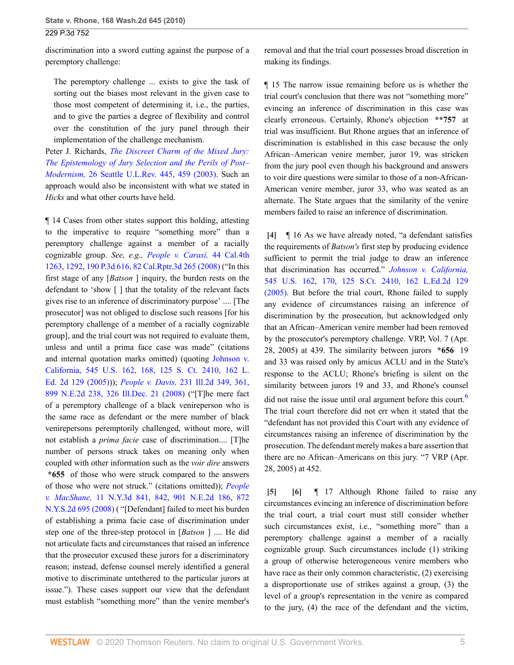discrimination into a sword cutting against the purpose of a peremptory challenge:

The peremptory challenge ... exists to give the task of sorting out the biases most relevant in the given case to those most competent of determining it, i.e., the parties, and to give the parties a degree of flexibility and control over the constitution of the jury panel through their implementation of the challenge mechanism.

Peter J. Richards, *[The Discreet Charm of the Mixed Jury:](http://www.westlaw.com/Link/Document/FullText?findType=Y&serNum=0294317234&pubNum=0107349&originatingDoc=Ib7ec9b9b3da111dfae65b23e804c3c12&refType=LR&fi=co_pp_sp_107349_459&originationContext=document&vr=3.0&rs=cblt1.0&transitionType=DocumentItem&contextData=(sc.UserEnteredCitation)#co_pp_sp_107349_459) [The Epistemology of Jury Selection and the Perils of Post–](http://www.westlaw.com/Link/Document/FullText?findType=Y&serNum=0294317234&pubNum=0107349&originatingDoc=Ib7ec9b9b3da111dfae65b23e804c3c12&refType=LR&fi=co_pp_sp_107349_459&originationContext=document&vr=3.0&rs=cblt1.0&transitionType=DocumentItem&contextData=(sc.UserEnteredCitation)#co_pp_sp_107349_459) Modernism,* [26 Seattle U.L.Rev. 445, 459 \(2003\)](http://www.westlaw.com/Link/Document/FullText?findType=Y&serNum=0294317234&pubNum=0107349&originatingDoc=Ib7ec9b9b3da111dfae65b23e804c3c12&refType=LR&fi=co_pp_sp_107349_459&originationContext=document&vr=3.0&rs=cblt1.0&transitionType=DocumentItem&contextData=(sc.UserEnteredCitation)#co_pp_sp_107349_459). Such an approach would also be inconsistent with what we stated in *Hicks* and what other courts have held.

¶ 14 Cases from other states support this holding, attesting to the imperative to require "something more" than a peremptory challenge against a member of a racially cognizable group. *See, e.g., [People v. Carasi,](http://www.westlaw.com/Link/Document/FullText?findType=Y&serNum=2016825271&pubNum=0007047&originatingDoc=Ib7ec9b9b3da111dfae65b23e804c3c12&refType=RP&originationContext=document&vr=3.0&rs=cblt1.0&transitionType=DocumentItem&contextData=(sc.UserEnteredCitation))* 44 Cal.4th [1263, 1292, 190 P.3d 616, 82 Cal.Rptr.3d 265 \(2008\)](http://www.westlaw.com/Link/Document/FullText?findType=Y&serNum=2016825271&pubNum=0007047&originatingDoc=Ib7ec9b9b3da111dfae65b23e804c3c12&refType=RP&originationContext=document&vr=3.0&rs=cblt1.0&transitionType=DocumentItem&contextData=(sc.UserEnteredCitation)) ("In this first stage of any [*Batson* ] inquiry, the burden rests on the defendant to 'show [ ] that the totality of the relevant facts gives rise to an inference of discriminatory purpose' .... [The prosecutor] was not obliged to disclose such reasons [for his peremptory challenge of a member of a racially cognizable group], and the trial court was not required to evaluate them, unless and until a prima face case was made" (citations and internal quotation marks omitted) (quoting [Johnson v.](http://www.westlaw.com/Link/Document/FullText?findType=Y&serNum=2006791983&pubNum=0000708&originatingDoc=Ib7ec9b9b3da111dfae65b23e804c3c12&refType=RP&originationContext=document&vr=3.0&rs=cblt1.0&transitionType=DocumentItem&contextData=(sc.UserEnteredCitation)) [California, 545 U.S. 162, 168, 125 S. Ct. 2410, 162 L.](http://www.westlaw.com/Link/Document/FullText?findType=Y&serNum=2006791983&pubNum=0000708&originatingDoc=Ib7ec9b9b3da111dfae65b23e804c3c12&refType=RP&originationContext=document&vr=3.0&rs=cblt1.0&transitionType=DocumentItem&contextData=(sc.UserEnteredCitation)) [Ed. 2d 129 \(2005\)](http://www.westlaw.com/Link/Document/FullText?findType=Y&serNum=2006791983&pubNum=0000708&originatingDoc=Ib7ec9b9b3da111dfae65b23e804c3c12&refType=RP&originationContext=document&vr=3.0&rs=cblt1.0&transitionType=DocumentItem&contextData=(sc.UserEnteredCitation)))); *People v. Davis,* [231 Ill.2d 349, 361,](http://www.westlaw.com/Link/Document/FullText?findType=Y&serNum=2017482290&pubNum=0000438&originatingDoc=Ib7ec9b9b3da111dfae65b23e804c3c12&refType=RP&originationContext=document&vr=3.0&rs=cblt1.0&transitionType=DocumentItem&contextData=(sc.UserEnteredCitation)) [899 N.E.2d 238, 326 Ill.Dec. 21 \(2008\)](http://www.westlaw.com/Link/Document/FullText?findType=Y&serNum=2017482290&pubNum=0000438&originatingDoc=Ib7ec9b9b3da111dfae65b23e804c3c12&refType=RP&originationContext=document&vr=3.0&rs=cblt1.0&transitionType=DocumentItem&contextData=(sc.UserEnteredCitation)) ("[T]he mere fact of a peremptory challenge of a black venireperson who is the same race as defendant or the mere number of black venirepersons peremptorily challenged, without more, will not establish a *prima facie* case of discrimination.... [T]he number of persons struck takes on meaning only when coupled with other information such as the *voir dire* answers **\*655** of those who were struck compared to the answers of those who were not struck." (citations omitted)); *[People](http://www.westlaw.com/Link/Document/FullText?findType=Y&serNum=2017491232&pubNum=0000602&originatingDoc=Ib7ec9b9b3da111dfae65b23e804c3c12&refType=RP&originationContext=document&vr=3.0&rs=cblt1.0&transitionType=DocumentItem&contextData=(sc.UserEnteredCitation)) v. MacShane,* [11 N.Y.3d 841, 842, 901 N.E.2d 186, 872](http://www.westlaw.com/Link/Document/FullText?findType=Y&serNum=2017491232&pubNum=0000602&originatingDoc=Ib7ec9b9b3da111dfae65b23e804c3c12&refType=RP&originationContext=document&vr=3.0&rs=cblt1.0&transitionType=DocumentItem&contextData=(sc.UserEnteredCitation)) [N.Y.S.2d 695 \(2008\)](http://www.westlaw.com/Link/Document/FullText?findType=Y&serNum=2017491232&pubNum=0000602&originatingDoc=Ib7ec9b9b3da111dfae65b23e804c3c12&refType=RP&originationContext=document&vr=3.0&rs=cblt1.0&transitionType=DocumentItem&contextData=(sc.UserEnteredCitation)) ( "[Defendant] failed to meet his burden of establishing a prima facie case of discrimination under step one of the three-step protocol in [*Batson* ] .... He did not articulate facts and circumstances that raised an inference that the prosecutor excused these jurors for a discriminatory reason; instead, defense counsel merely identified a general motive to discriminate untethered to the particular jurors at issue."). These cases support our view that the defendant must establish "something more" than the venire member's

removal and that the trial court possesses broad discretion in making its findings.

¶ 15 The narrow issue remaining before us is whether the trial court's conclusion that there was not "something more" evincing an inference of discrimination in this case was clearly erroneous. Certainly, Rhone's objection **\*\*757** at trial was insufficient. But Rhone argues that an inference of discrimination is established in this case because the only African–American venire member, juror 19, was stricken from the jury pool even though his background and answers to voir dire questions were similar to those of a non-African-American venire member, juror 33, who was seated as an alternate. The State argues that the similarity of the venire members failed to raise an inference of discrimination.

<span id="page-4-0"></span>**[\[4\]](#page-0-3)** ¶ 16 As we have already noted, "a defendant satisfies the requirements of *Batson's* first step by producing evidence sufficient to permit the trial judge to draw an inference that discrimination has occurred." *[Johnson v. California,](http://www.westlaw.com/Link/Document/FullText?findType=Y&serNum=2006791983&pubNum=0000708&originatingDoc=Ib7ec9b9b3da111dfae65b23e804c3c12&refType=RP&originationContext=document&vr=3.0&rs=cblt1.0&transitionType=DocumentItem&contextData=(sc.UserEnteredCitation))* [545 U.S. 162, 170, 125 S.Ct. 2410, 162 L.Ed.2d 129](http://www.westlaw.com/Link/Document/FullText?findType=Y&serNum=2006791983&pubNum=0000708&originatingDoc=Ib7ec9b9b3da111dfae65b23e804c3c12&refType=RP&originationContext=document&vr=3.0&rs=cblt1.0&transitionType=DocumentItem&contextData=(sc.UserEnteredCitation)) [\(2005\).](http://www.westlaw.com/Link/Document/FullText?findType=Y&serNum=2006791983&pubNum=0000708&originatingDoc=Ib7ec9b9b3da111dfae65b23e804c3c12&refType=RP&originationContext=document&vr=3.0&rs=cblt1.0&transitionType=DocumentItem&contextData=(sc.UserEnteredCitation)) But before the trial court, Rhone failed to supply any evidence of circumstances raising an inference of discrimination by the prosecution, but acknowledged only that an African–American venire member had been removed by the prosecutor's peremptory challenge. VRP, Vol. 7 (Apr. 28, 2005) at 439. The similarity between jurors **\*656** 19 and 33 was raised only by amicus ACLU and in the State's response to the ACLU; Rhone's briefing is silent on the similarity between jurors 19 and 33, and Rhone's counsel did not raise the issue until oral argument before this court.<sup>[6](#page-8-5)</sup> The trial court therefore did not err when it stated that the "defendant has not provided this Court with any evidence of circumstances raising an inference of discrimination by the prosecution. The defendant merely makes a bare assertion that there are no African–Americans on this jury. "7 VRP (Apr. 28, 2005) at 452.

<span id="page-4-3"></span><span id="page-4-2"></span><span id="page-4-1"></span>**[\[5\]](#page-0-4) [\[6\]](#page-1-1)** ¶ 17 Although Rhone failed to raise any circumstances evincing an inference of discrimination before the trial court, a trial court must still consider whether such circumstances exist, i.e., "something more" than a peremptory challenge against a member of a racially cognizable group. Such circumstances include (1) striking a group of otherwise heterogeneous venire members who have race as their only common characteristic, (2) exercising a disproportionate use of strikes against a group, (3) the level of a group's representation in the venire as compared to the jury, (4) the race of the defendant and the victim,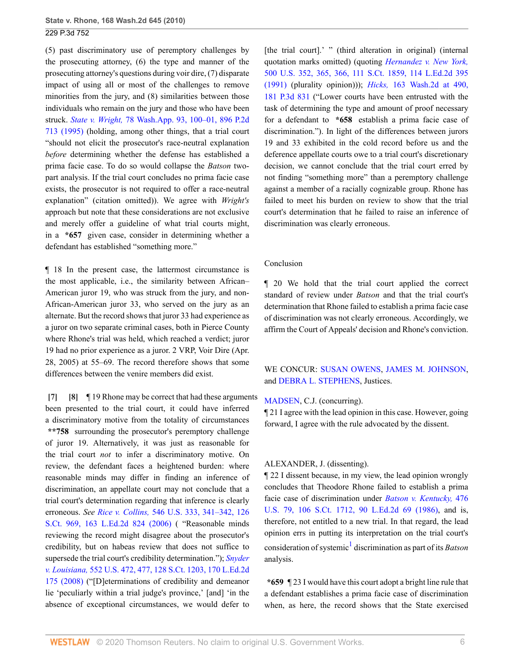(5) past discriminatory use of peremptory challenges by the prosecuting attorney, (6) the type and manner of the prosecuting attorney's questions during voir dire, (7) disparate impact of using all or most of the challenges to remove minorities from the jury, and (8) similarities between those individuals who remain on the jury and those who have been struck. *State v. Wright,* [78 Wash.App. 93, 100–01, 896 P.2d](http://www.westlaw.com/Link/Document/FullText?findType=Y&serNum=1995127132&pubNum=0000661&originatingDoc=Ib7ec9b9b3da111dfae65b23e804c3c12&refType=RP&originationContext=document&vr=3.0&rs=cblt1.0&transitionType=DocumentItem&contextData=(sc.UserEnteredCitation)) [713 \(1995\)](http://www.westlaw.com/Link/Document/FullText?findType=Y&serNum=1995127132&pubNum=0000661&originatingDoc=Ib7ec9b9b3da111dfae65b23e804c3c12&refType=RP&originationContext=document&vr=3.0&rs=cblt1.0&transitionType=DocumentItem&contextData=(sc.UserEnteredCitation)) (holding, among other things, that a trial court "should not elicit the prosecutor's race-neutral explanation *before* determining whether the defense has established a prima facie case. To do so would collapse the *Batson* twopart analysis. If the trial court concludes no prima facie case exists, the prosecutor is not required to offer a race-neutral explanation" (citation omitted)). We agree with *Wright's* approach but note that these considerations are not exclusive and merely offer a guideline of what trial courts might, in a **\*657** given case, consider in determining whether a defendant has established "something more."

¶ 18 In the present case, the lattermost circumstance is the most applicable, i.e., the similarity between African– American juror 19, who was struck from the jury, and non-African-American juror 33, who served on the jury as an alternate. But the record shows that juror 33 had experience as a juror on two separate criminal cases, both in Pierce County where Rhone's trial was held, which reached a verdict; juror 19 had no prior experience as a juror. 2 VRP, Voir Dire (Apr. 28, 2005) at 55–69. The record therefore shows that some differences between the venire members did exist.

<span id="page-5-1"></span><span id="page-5-0"></span>**[\[7\]](#page-1-2) [\[8\]](#page-1-0)** ¶ 19 Rhone may be correct that had these arguments been presented to the trial court, it could have inferred a discriminatory motive from the totality of circumstances **\*\*758** surrounding the prosecutor's peremptory challenge of juror 19. Alternatively, it was just as reasonable for the trial court *not* to infer a discriminatory motive. On review, the defendant faces a heightened burden: where reasonable minds may differ in finding an inference of discrimination, an appellate court may not conclude that a trial court's determination regarding that inference is clearly erroneous. *See Rice v. Collins,* [546 U.S. 333, 341–342, 126](http://www.westlaw.com/Link/Document/FullText?findType=Y&serNum=2008192167&pubNum=0000708&originatingDoc=Ib7ec9b9b3da111dfae65b23e804c3c12&refType=RP&originationContext=document&vr=3.0&rs=cblt1.0&transitionType=DocumentItem&contextData=(sc.UserEnteredCitation)) [S.Ct. 969, 163 L.Ed.2d 824 \(2006\)](http://www.westlaw.com/Link/Document/FullText?findType=Y&serNum=2008192167&pubNum=0000708&originatingDoc=Ib7ec9b9b3da111dfae65b23e804c3c12&refType=RP&originationContext=document&vr=3.0&rs=cblt1.0&transitionType=DocumentItem&contextData=(sc.UserEnteredCitation)) ( "Reasonable minds reviewing the record might disagree about the prosecutor's credibility, but on habeas review that does not suffice to supersede the trial court's credibility determination."); *[Snyder](http://www.westlaw.com/Link/Document/FullText?findType=Y&serNum=2015520672&pubNum=0000708&originatingDoc=Ib7ec9b9b3da111dfae65b23e804c3c12&refType=RP&originationContext=document&vr=3.0&rs=cblt1.0&transitionType=DocumentItem&contextData=(sc.UserEnteredCitation)) v. Louisiana,* [552 U.S. 472, 477, 128 S.Ct. 1203, 170 L.Ed.2d](http://www.westlaw.com/Link/Document/FullText?findType=Y&serNum=2015520672&pubNum=0000708&originatingDoc=Ib7ec9b9b3da111dfae65b23e804c3c12&refType=RP&originationContext=document&vr=3.0&rs=cblt1.0&transitionType=DocumentItem&contextData=(sc.UserEnteredCitation)) [175 \(2008\)](http://www.westlaw.com/Link/Document/FullText?findType=Y&serNum=2015520672&pubNum=0000708&originatingDoc=Ib7ec9b9b3da111dfae65b23e804c3c12&refType=RP&originationContext=document&vr=3.0&rs=cblt1.0&transitionType=DocumentItem&contextData=(sc.UserEnteredCitation)) ("[D]eterminations of credibility and demeanor lie 'peculiarly within a trial judge's province,' [and] 'in the absence of exceptional circumstances, we would defer to

[the trial court].' " (third alteration in original) (internal quotation marks omitted) (quoting *[Hernandez v. New York,](http://www.westlaw.com/Link/Document/FullText?findType=Y&serNum=1991097682&pubNum=0000708&originatingDoc=Ib7ec9b9b3da111dfae65b23e804c3c12&refType=RP&originationContext=document&vr=3.0&rs=cblt1.0&transitionType=DocumentItem&contextData=(sc.UserEnteredCitation))* [500 U.S. 352, 365, 366, 111 S.Ct. 1859, 114 L.Ed.2d 395](http://www.westlaw.com/Link/Document/FullText?findType=Y&serNum=1991097682&pubNum=0000708&originatingDoc=Ib7ec9b9b3da111dfae65b23e804c3c12&refType=RP&originationContext=document&vr=3.0&rs=cblt1.0&transitionType=DocumentItem&contextData=(sc.UserEnteredCitation)) [\(1991\)](http://www.westlaw.com/Link/Document/FullText?findType=Y&serNum=1991097682&pubNum=0000708&originatingDoc=Ib7ec9b9b3da111dfae65b23e804c3c12&refType=RP&originationContext=document&vr=3.0&rs=cblt1.0&transitionType=DocumentItem&contextData=(sc.UserEnteredCitation)) (plurality opinion))); *Hicks,* [163 Wash.2d at 490,](http://www.westlaw.com/Link/Document/FullText?findType=Y&serNum=2015870376&pubNum=0004645&originatingDoc=Ib7ec9b9b3da111dfae65b23e804c3c12&refType=RP&originationContext=document&vr=3.0&rs=cblt1.0&transitionType=DocumentItem&contextData=(sc.UserEnteredCitation)) [181 P.3d 831](http://www.westlaw.com/Link/Document/FullText?findType=Y&serNum=2015870376&pubNum=0004645&originatingDoc=Ib7ec9b9b3da111dfae65b23e804c3c12&refType=RP&originationContext=document&vr=3.0&rs=cblt1.0&transitionType=DocumentItem&contextData=(sc.UserEnteredCitation)) ("Lower courts have been entrusted with the task of determining the type and amount of proof necessary for a defendant to **\*658** establish a prima facie case of discrimination."). In light of the differences between jurors 19 and 33 exhibited in the cold record before us and the deference appellate courts owe to a trial court's discretionary decision, we cannot conclude that the trial court erred by not finding "something more" than a peremptory challenge against a member of a racially cognizable group. Rhone has failed to meet his burden on review to show that the trial court's determination that he failed to raise an inference of discrimination was clearly erroneous.

#### Conclusion

¶ 20 We hold that the trial court applied the correct standard of review under *Batson* and that the trial court's determination that Rhone failed to establish a prima facie case of discrimination was not clearly erroneous. Accordingly, we affirm the Court of Appeals' decision and Rhone's conviction.

## WE CONCUR: [SUSAN OWENS,](http://www.westlaw.com/Link/Document/FullText?findType=h&pubNum=176284&cite=0154143501&originatingDoc=Ib7ec9b9b3da111dfae65b23e804c3c12&refType=RQ&originationContext=document&vr=3.0&rs=cblt1.0&transitionType=DocumentItem&contextData=(sc.UserEnteredCitation)) [JAMES M. JOHNSON,](http://www.westlaw.com/Link/Document/FullText?findType=h&pubNum=176284&cite=0340301801&originatingDoc=Ib7ec9b9b3da111dfae65b23e804c3c12&refType=RQ&originationContext=document&vr=3.0&rs=cblt1.0&transitionType=DocumentItem&contextData=(sc.UserEnteredCitation)) and [DEBRA L. STEPHENS,](http://www.westlaw.com/Link/Document/FullText?findType=h&pubNum=176284&cite=0380551701&originatingDoc=Ib7ec9b9b3da111dfae65b23e804c3c12&refType=RQ&originationContext=document&vr=3.0&rs=cblt1.0&transitionType=DocumentItem&contextData=(sc.UserEnteredCitation)) Justices.

### [MADSEN](http://www.westlaw.com/Link/Document/FullText?findType=h&pubNum=176284&cite=0126244901&originatingDoc=Ib7ec9b9b3da111dfae65b23e804c3c12&refType=RQ&originationContext=document&vr=3.0&rs=cblt1.0&transitionType=DocumentItem&contextData=(sc.UserEnteredCitation)), C.J. (concurring).

¶ 21 I agree with the lead opinion in this case. However, going forward, I agree with the rule advocated by the dissent.

#### ALEXANDER, J. (dissenting).

¶ 22 I dissent because, in my view, the lead opinion wrongly concludes that Theodore Rhone failed to establish a prima facie case of discrimination under *[Batson v. Kentucky,](http://www.westlaw.com/Link/Document/FullText?findType=Y&serNum=1986122459&pubNum=0000708&originatingDoc=Ib7ec9b9b3da111dfae65b23e804c3c12&refType=RP&originationContext=document&vr=3.0&rs=cblt1.0&transitionType=DocumentItem&contextData=(sc.UserEnteredCitation))* 476 [U.S. 79, 106 S.Ct. 1712, 90 L.Ed.2d 69 \(1986\),](http://www.westlaw.com/Link/Document/FullText?findType=Y&serNum=1986122459&pubNum=0000708&originatingDoc=Ib7ec9b9b3da111dfae65b23e804c3c12&refType=RP&originationContext=document&vr=3.0&rs=cblt1.0&transitionType=DocumentItem&contextData=(sc.UserEnteredCitation)) and is, therefore, not entitled to a new trial. In that regard, the lead opinion errs in putting its interpretation on the trial court's consideration of systemic<sup>[1](#page-8-6)</sup> discrimination as part of its *Batson* analysis.

<span id="page-5-2"></span>**\*659** ¶ 23 I would have this court adopt a bright line rule that a defendant establishes a prima facie case of discrimination when, as here, the record shows that the State exercised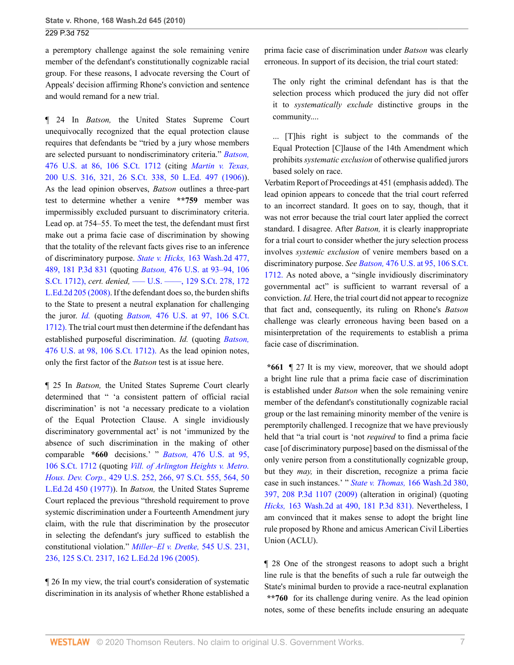a peremptory challenge against the sole remaining venire member of the defendant's constitutionally cognizable racial group. For these reasons, I advocate reversing the Court of Appeals' decision affirming Rhone's conviction and sentence and would remand for a new trial.

¶ 24 In *Batson,* the United States Supreme Court unequivocally recognized that the equal protection clause requires that defendants be "tried by a jury whose members are selected pursuant to nondiscriminatory criteria." *[Batson,](http://www.westlaw.com/Link/Document/FullText?findType=Y&serNum=1986122459&pubNum=0000708&originatingDoc=Ib7ec9b9b3da111dfae65b23e804c3c12&refType=RP&originationContext=document&vr=3.0&rs=cblt1.0&transitionType=DocumentItem&contextData=(sc.UserEnteredCitation))* [476 U.S. at 86, 106 S.Ct. 1712](http://www.westlaw.com/Link/Document/FullText?findType=Y&serNum=1986122459&pubNum=0000708&originatingDoc=Ib7ec9b9b3da111dfae65b23e804c3c12&refType=RP&originationContext=document&vr=3.0&rs=cblt1.0&transitionType=DocumentItem&contextData=(sc.UserEnteredCitation)) (citing *[Martin v. Texas,](http://www.westlaw.com/Link/Document/FullText?findType=Y&serNum=1906100281&pubNum=0000708&originatingDoc=Ib7ec9b9b3da111dfae65b23e804c3c12&refType=RP&originationContext=document&vr=3.0&rs=cblt1.0&transitionType=DocumentItem&contextData=(sc.UserEnteredCitation))* [200 U.S. 316, 321, 26 S.Ct. 338, 50 L.Ed. 497 \(1906\)](http://www.westlaw.com/Link/Document/FullText?findType=Y&serNum=1906100281&pubNum=0000708&originatingDoc=Ib7ec9b9b3da111dfae65b23e804c3c12&refType=RP&originationContext=document&vr=3.0&rs=cblt1.0&transitionType=DocumentItem&contextData=(sc.UserEnteredCitation))). As the lead opinion observes, *Batson* outlines a three-part test to determine whether a venire **\*\*759** member was impermissibly excluded pursuant to discriminatory criteria. Lead op. at 754–55. To meet the test, the defendant must first make out a prima facie case of discrimination by showing that the totality of the relevant facts gives rise to an inference of discriminatory purpose. *State v. Hicks,* [163 Wash.2d 477,](http://www.westlaw.com/Link/Document/FullText?findType=Y&serNum=2015870376&pubNum=0004645&originatingDoc=Ib7ec9b9b3da111dfae65b23e804c3c12&refType=RP&originationContext=document&vr=3.0&rs=cblt1.0&transitionType=DocumentItem&contextData=(sc.UserEnteredCitation)) [489, 181 P.3d 831](http://www.westlaw.com/Link/Document/FullText?findType=Y&serNum=2015870376&pubNum=0004645&originatingDoc=Ib7ec9b9b3da111dfae65b23e804c3c12&refType=RP&originationContext=document&vr=3.0&rs=cblt1.0&transitionType=DocumentItem&contextData=(sc.UserEnteredCitation)) (quoting *Batson,* [476 U.S. at 93–94, 106](http://www.westlaw.com/Link/Document/FullText?findType=Y&serNum=1986122459&pubNum=708&originatingDoc=Ib7ec9b9b3da111dfae65b23e804c3c12&refType=RP&originationContext=document&vr=3.0&rs=cblt1.0&transitionType=DocumentItem&contextData=(sc.UserEnteredCitation)) [S.Ct. 1712\),](http://www.westlaw.com/Link/Document/FullText?findType=Y&serNum=1986122459&pubNum=708&originatingDoc=Ib7ec9b9b3da111dfae65b23e804c3c12&refType=RP&originationContext=document&vr=3.0&rs=cblt1.0&transitionType=DocumentItem&contextData=(sc.UserEnteredCitation)) *cert. denied,* [––– U.S. ––––, 129 S.Ct. 278, 172](http://www.westlaw.com/Link/Document/FullText?findType=Y&serNum=2016637412&pubNum=708&originatingDoc=Ib7ec9b9b3da111dfae65b23e804c3c12&refType=RP&originationContext=document&vr=3.0&rs=cblt1.0&transitionType=DocumentItem&contextData=(sc.UserEnteredCitation)) [L.Ed.2d 205 \(2008\)](http://www.westlaw.com/Link/Document/FullText?findType=Y&serNum=2016637412&pubNum=708&originatingDoc=Ib7ec9b9b3da111dfae65b23e804c3c12&refType=RP&originationContext=document&vr=3.0&rs=cblt1.0&transitionType=DocumentItem&contextData=(sc.UserEnteredCitation)). If the defendant does so, the burden shifts to the State to present a neutral explanation for challenging the juror. *[Id.](http://www.westlaw.com/Link/Document/FullText?findType=Y&serNum=2015870376&originatingDoc=Ib7ec9b9b3da111dfae65b23e804c3c12&refType=RP&originationContext=document&vr=3.0&rs=cblt1.0&transitionType=DocumentItem&contextData=(sc.UserEnteredCitation))* (quoting *Batson,* [476 U.S. at 97, 106 S.Ct.](http://www.westlaw.com/Link/Document/FullText?findType=Y&serNum=1986122459&pubNum=708&originatingDoc=Ib7ec9b9b3da111dfae65b23e804c3c12&refType=RP&originationContext=document&vr=3.0&rs=cblt1.0&transitionType=DocumentItem&contextData=(sc.UserEnteredCitation)) [1712\).](http://www.westlaw.com/Link/Document/FullText?findType=Y&serNum=1986122459&pubNum=708&originatingDoc=Ib7ec9b9b3da111dfae65b23e804c3c12&refType=RP&originationContext=document&vr=3.0&rs=cblt1.0&transitionType=DocumentItem&contextData=(sc.UserEnteredCitation)) The trial court must then determine if the defendant has established purposeful discrimination. *Id.* (quoting *[Batson,](http://www.westlaw.com/Link/Document/FullText?findType=Y&serNum=1986122459&pubNum=708&originatingDoc=Ib7ec9b9b3da111dfae65b23e804c3c12&refType=RP&originationContext=document&vr=3.0&rs=cblt1.0&transitionType=DocumentItem&contextData=(sc.UserEnteredCitation))* [476 U.S. at 98, 106 S.Ct. 1712\).](http://www.westlaw.com/Link/Document/FullText?findType=Y&serNum=1986122459&pubNum=708&originatingDoc=Ib7ec9b9b3da111dfae65b23e804c3c12&refType=RP&originationContext=document&vr=3.0&rs=cblt1.0&transitionType=DocumentItem&contextData=(sc.UserEnteredCitation)) As the lead opinion notes, only the first factor of the *Batson* test is at issue here.

¶ 25 In *Batson,* the United States Supreme Court clearly determined that " 'a consistent pattern of official racial discrimination' is not 'a necessary predicate to a violation of the Equal Protection Clause. A single invidiously discriminatory governmental act' is not 'immunized by the absence of such discrimination in the making of other comparable **\*660** decisions.' " *Batson,* [476 U.S. at 95,](http://www.westlaw.com/Link/Document/FullText?findType=Y&serNum=1986122459&pubNum=0000708&originatingDoc=Ib7ec9b9b3da111dfae65b23e804c3c12&refType=RP&originationContext=document&vr=3.0&rs=cblt1.0&transitionType=DocumentItem&contextData=(sc.UserEnteredCitation)) [106 S.Ct. 1712](http://www.westlaw.com/Link/Document/FullText?findType=Y&serNum=1986122459&pubNum=0000708&originatingDoc=Ib7ec9b9b3da111dfae65b23e804c3c12&refType=RP&originationContext=document&vr=3.0&rs=cblt1.0&transitionType=DocumentItem&contextData=(sc.UserEnteredCitation)) (quoting *[Vill. of Arlington Heights v. Metro.](http://www.westlaw.com/Link/Document/FullText?findType=Y&serNum=1977118707&pubNum=0000708&originatingDoc=Ib7ec9b9b3da111dfae65b23e804c3c12&refType=RP&fi=co_pp_sp_708_564&originationContext=document&vr=3.0&rs=cblt1.0&transitionType=DocumentItem&contextData=(sc.UserEnteredCitation)#co_pp_sp_708_564) Hous. Dev. Corp.,* [429 U.S. 252, 266, 97 S.Ct. 555, 564, 50](http://www.westlaw.com/Link/Document/FullText?findType=Y&serNum=1977118707&pubNum=0000708&originatingDoc=Ib7ec9b9b3da111dfae65b23e804c3c12&refType=RP&fi=co_pp_sp_708_564&originationContext=document&vr=3.0&rs=cblt1.0&transitionType=DocumentItem&contextData=(sc.UserEnteredCitation)#co_pp_sp_708_564) [L.Ed.2d 450 \(1977\)](http://www.westlaw.com/Link/Document/FullText?findType=Y&serNum=1977118707&pubNum=0000708&originatingDoc=Ib7ec9b9b3da111dfae65b23e804c3c12&refType=RP&fi=co_pp_sp_708_564&originationContext=document&vr=3.0&rs=cblt1.0&transitionType=DocumentItem&contextData=(sc.UserEnteredCitation)#co_pp_sp_708_564)). In *Batson,* the United States Supreme Court replaced the previous "threshold requirement to prove systemic discrimination under a Fourteenth Amendment jury claim, with the rule that discrimination by the prosecutor in selecting the defendant's jury sufficed to establish the constitutional violation." *[Miller–El v. Dretke,](http://www.westlaw.com/Link/Document/FullText?findType=Y&serNum=2006791870&pubNum=0000708&originatingDoc=Ib7ec9b9b3da111dfae65b23e804c3c12&refType=RP&originationContext=document&vr=3.0&rs=cblt1.0&transitionType=DocumentItem&contextData=(sc.UserEnteredCitation))* 545 U.S. 231, [236, 125 S.Ct. 2317, 162 L.Ed.2d 196 \(2005\)](http://www.westlaw.com/Link/Document/FullText?findType=Y&serNum=2006791870&pubNum=0000708&originatingDoc=Ib7ec9b9b3da111dfae65b23e804c3c12&refType=RP&originationContext=document&vr=3.0&rs=cblt1.0&transitionType=DocumentItem&contextData=(sc.UserEnteredCitation)).

¶ 26 In my view, the trial court's consideration of systematic discrimination in its analysis of whether Rhone established a prima facie case of discrimination under *Batson* was clearly erroneous. In support of its decision, the trial court stated:

The only right the criminal defendant has is that the selection process which produced the jury did not offer it to *systematically exclude* distinctive groups in the community....

... [T]his right is subject to the commands of the Equal Protection [C]lause of the 14th Amendment which prohibits *systematic exclusion* of otherwise qualified jurors based solely on race.

Verbatim Report of Proceedings at 451 (emphasis added). The lead opinion appears to concede that the trial court referred to an incorrect standard. It goes on to say, though, that it was not error because the trial court later applied the correct standard. I disagree. After *Batson,* it is clearly inappropriate for a trial court to consider whether the jury selection process involves *systemic exclusion* of venire members based on a discriminatory purpose. *See Batson,* [476 U.S. at 95, 106 S.Ct.](http://www.westlaw.com/Link/Document/FullText?findType=Y&serNum=1986122459&pubNum=708&originatingDoc=Ib7ec9b9b3da111dfae65b23e804c3c12&refType=RP&originationContext=document&vr=3.0&rs=cblt1.0&transitionType=DocumentItem&contextData=(sc.UserEnteredCitation)) [1712.](http://www.westlaw.com/Link/Document/FullText?findType=Y&serNum=1986122459&pubNum=708&originatingDoc=Ib7ec9b9b3da111dfae65b23e804c3c12&refType=RP&originationContext=document&vr=3.0&rs=cblt1.0&transitionType=DocumentItem&contextData=(sc.UserEnteredCitation)) As noted above, a "single invidiously discriminatory governmental act" is sufficient to warrant reversal of a conviction. *Id.* Here, the trial court did not appear to recognize that fact and, consequently, its ruling on Rhone's *Batson* challenge was clearly erroneous having been based on a misinterpretation of the requirements to establish a prima facie case of discrimination.

**\*661** ¶ 27 It is my view, moreover, that we should adopt a bright line rule that a prima facie case of discrimination is established under *Batson* when the sole remaining venire member of the defendant's constitutionally cognizable racial group or the last remaining minority member of the venire is peremptorily challenged. I recognize that we have previously held that "a trial court is 'not *required* to find a prima facie case [of discriminatory purpose] based on the dismissal of the only venire person from a constitutionally cognizable group, but they *may,* in their discretion, recognize a prima facie case in such instances.' " *State v. Thomas,* [166 Wash.2d 380,](http://www.westlaw.com/Link/Document/FullText?findType=Y&serNum=2019092715&pubNum=0004645&originatingDoc=Ib7ec9b9b3da111dfae65b23e804c3c12&refType=RP&originationContext=document&vr=3.0&rs=cblt1.0&transitionType=DocumentItem&contextData=(sc.UserEnteredCitation)) [397, 208 P.3d 1107 \(2009\)](http://www.westlaw.com/Link/Document/FullText?findType=Y&serNum=2019092715&pubNum=0004645&originatingDoc=Ib7ec9b9b3da111dfae65b23e804c3c12&refType=RP&originationContext=document&vr=3.0&rs=cblt1.0&transitionType=DocumentItem&contextData=(sc.UserEnteredCitation)) (alteration in original) (quoting *Hicks,* [163 Wash.2d at 490, 181 P.3d 831\).](http://www.westlaw.com/Link/Document/FullText?findType=Y&serNum=2015870376&pubNum=4645&originatingDoc=Ib7ec9b9b3da111dfae65b23e804c3c12&refType=RP&originationContext=document&vr=3.0&rs=cblt1.0&transitionType=DocumentItem&contextData=(sc.UserEnteredCitation)) Nevertheless, I am convinced that it makes sense to adopt the bright line rule proposed by Rhone and amicus American Civil Liberties Union (ACLU).

¶ 28 One of the strongest reasons to adopt such a bright line rule is that the benefits of such a rule far outweigh the State's minimal burden to provide a race-neutral explanation **\*\*760** for its challenge during venire. As the lead opinion notes, some of these benefits include ensuring an adequate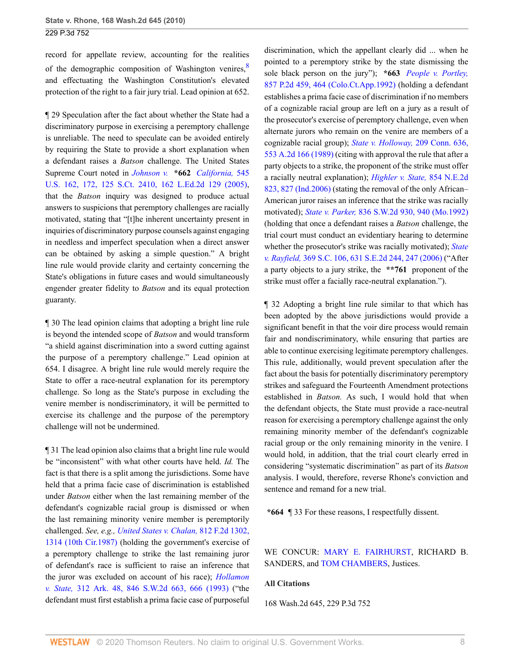record for appellate review, accounting for the realities of the demographic composition of Washington venires, $8$ and effectuating the Washington Constitution's elevated protection of the right to a fair jury trial. Lead opinion at 652.

¶ 29 Speculation after the fact about whether the State had a discriminatory purpose in exercising a peremptory challenge is unreliable. The need to speculate can be avoided entirely by requiring the State to provide a short explanation when a defendant raises a *Batson* challenge. The United States Supreme Court noted in *Johnson v.* **\*662** *[California,](http://www.westlaw.com/Link/Document/FullText?findType=Y&serNum=2006791983&pubNum=0000708&originatingDoc=Ib7ec9b9b3da111dfae65b23e804c3c12&refType=RP&originationContext=document&vr=3.0&rs=cblt1.0&transitionType=DocumentItem&contextData=(sc.UserEnteredCitation))* 545 [U.S. 162, 172, 125 S.Ct. 2410, 162 L.Ed.2d 129 \(2005\)](http://www.westlaw.com/Link/Document/FullText?findType=Y&serNum=2006791983&pubNum=0000708&originatingDoc=Ib7ec9b9b3da111dfae65b23e804c3c12&refType=RP&originationContext=document&vr=3.0&rs=cblt1.0&transitionType=DocumentItem&contextData=(sc.UserEnteredCitation)), that the *Batson* inquiry was designed to produce actual answers to suspicions that peremptory challenges are racially motivated, stating that "[t]he inherent uncertainty present in inquiries of discriminatory purpose counsels against engaging in needless and imperfect speculation when a direct answer can be obtained by asking a simple question." A bright line rule would provide clarity and certainty concerning the State's obligations in future cases and would simultaneously engender greater fidelity to *Batson* and its equal protection guaranty.

¶ 30 The lead opinion claims that adopting a bright line rule is beyond the intended scope of *Batson* and would transform "a shield against discrimination into a sword cutting against the purpose of a peremptory challenge." Lead opinion at 654. I disagree. A bright line rule would merely require the State to offer a race-neutral explanation for its peremptory challenge. So long as the State's purpose in excluding the venire member is nondiscriminatory, it will be permitted to exercise its challenge and the purpose of the peremptory challenge will not be undermined.

¶ 31 The lead opinion also claims that a bright line rule would be "inconsistent" with what other courts have held. *Id.* The fact is that there is a split among the jurisdictions. Some have held that a prima facie case of discrimination is established under *Batson* either when the last remaining member of the defendant's cognizable racial group is dismissed or when the last remaining minority venire member is peremptorily challenged. *See, e.g., [United States v. Chalan,](http://www.westlaw.com/Link/Document/FullText?findType=Y&serNum=1987027723&pubNum=0000350&originatingDoc=Ib7ec9b9b3da111dfae65b23e804c3c12&refType=RP&fi=co_pp_sp_350_1314&originationContext=document&vr=3.0&rs=cblt1.0&transitionType=DocumentItem&contextData=(sc.UserEnteredCitation)#co_pp_sp_350_1314)* 812 F.2d 1302, [1314 \(10th Cir.1987\)](http://www.westlaw.com/Link/Document/FullText?findType=Y&serNum=1987027723&pubNum=0000350&originatingDoc=Ib7ec9b9b3da111dfae65b23e804c3c12&refType=RP&fi=co_pp_sp_350_1314&originationContext=document&vr=3.0&rs=cblt1.0&transitionType=DocumentItem&contextData=(sc.UserEnteredCitation)#co_pp_sp_350_1314) (holding the government's exercise of a peremptory challenge to strike the last remaining juror of defendant's race is sufficient to raise an inference that the juror was excluded on account of his race); *[Hollamon](http://www.westlaw.com/Link/Document/FullText?findType=Y&serNum=1993048303&pubNum=0000713&originatingDoc=Ib7ec9b9b3da111dfae65b23e804c3c12&refType=RP&fi=co_pp_sp_713_666&originationContext=document&vr=3.0&rs=cblt1.0&transitionType=DocumentItem&contextData=(sc.UserEnteredCitation)#co_pp_sp_713_666) v. State,* [312 Ark. 48, 846 S.W.2d 663, 666 \(1993\)](http://www.westlaw.com/Link/Document/FullText?findType=Y&serNum=1993048303&pubNum=0000713&originatingDoc=Ib7ec9b9b3da111dfae65b23e804c3c12&refType=RP&fi=co_pp_sp_713_666&originationContext=document&vr=3.0&rs=cblt1.0&transitionType=DocumentItem&contextData=(sc.UserEnteredCitation)#co_pp_sp_713_666) ("the defendant must first establish a prima facie case of purposeful

<span id="page-7-0"></span>discrimination, which the appellant clearly did ... when he pointed to a peremptory strike by the state dismissing the sole black person on the jury"); **\*663** *[People v. Portley,](http://www.westlaw.com/Link/Document/FullText?findType=Y&serNum=1992219356&pubNum=0000661&originatingDoc=Ib7ec9b9b3da111dfae65b23e804c3c12&refType=RP&fi=co_pp_sp_661_464&originationContext=document&vr=3.0&rs=cblt1.0&transitionType=DocumentItem&contextData=(sc.UserEnteredCitation)#co_pp_sp_661_464)* [857 P.2d 459, 464 \(Colo.Ct.App.1992\)](http://www.westlaw.com/Link/Document/FullText?findType=Y&serNum=1992219356&pubNum=0000661&originatingDoc=Ib7ec9b9b3da111dfae65b23e804c3c12&refType=RP&fi=co_pp_sp_661_464&originationContext=document&vr=3.0&rs=cblt1.0&transitionType=DocumentItem&contextData=(sc.UserEnteredCitation)#co_pp_sp_661_464) (holding a defendant establishes a prima facie case of discrimination if no members of a cognizable racial group are left on a jury as a result of the prosecutor's exercise of peremptory challenge, even when alternate jurors who remain on the venire are members of a cognizable racial group); *[State v. Holloway,](http://www.westlaw.com/Link/Document/FullText?findType=Y&serNum=1989016238&pubNum=0000162&originatingDoc=Ib7ec9b9b3da111dfae65b23e804c3c12&refType=RP&originationContext=document&vr=3.0&rs=cblt1.0&transitionType=DocumentItem&contextData=(sc.UserEnteredCitation))* 209 Conn. 636, [553 A.2d 166 \(1989\)](http://www.westlaw.com/Link/Document/FullText?findType=Y&serNum=1989016238&pubNum=0000162&originatingDoc=Ib7ec9b9b3da111dfae65b23e804c3c12&refType=RP&originationContext=document&vr=3.0&rs=cblt1.0&transitionType=DocumentItem&contextData=(sc.UserEnteredCitation)) (citing with approval the rule that after a party objects to a strike, the proponent of the strike must offer a racially neutral explanation); *[Highler v. State,](http://www.westlaw.com/Link/Document/FullText?findType=Y&serNum=2010407149&pubNum=0000578&originatingDoc=Ib7ec9b9b3da111dfae65b23e804c3c12&refType=RP&fi=co_pp_sp_578_827&originationContext=document&vr=3.0&rs=cblt1.0&transitionType=DocumentItem&contextData=(sc.UserEnteredCitation)#co_pp_sp_578_827)* 854 N.E.2d [823, 827 \(Ind.2006\)](http://www.westlaw.com/Link/Document/FullText?findType=Y&serNum=2010407149&pubNum=0000578&originatingDoc=Ib7ec9b9b3da111dfae65b23e804c3c12&refType=RP&fi=co_pp_sp_578_827&originationContext=document&vr=3.0&rs=cblt1.0&transitionType=DocumentItem&contextData=(sc.UserEnteredCitation)#co_pp_sp_578_827) (stating the removal of the only African– American juror raises an inference that the strike was racially motivated); *State v. Parker,* [836 S.W.2d 930, 940 \(Mo.1992\)](http://www.westlaw.com/Link/Document/FullText?findType=Y&serNum=1992130885&pubNum=0000713&originatingDoc=Ib7ec9b9b3da111dfae65b23e804c3c12&refType=RP&fi=co_pp_sp_713_940&originationContext=document&vr=3.0&rs=cblt1.0&transitionType=DocumentItem&contextData=(sc.UserEnteredCitation)#co_pp_sp_713_940) (holding that once a defendant raises a *Batson* challenge, the trial court must conduct an evidentiary hearing to determine whether the prosecutor's strike was racially motivated); *[State](http://www.westlaw.com/Link/Document/FullText?findType=Y&serNum=2009259933&pubNum=0000711&originatingDoc=Ib7ec9b9b3da111dfae65b23e804c3c12&refType=RP&fi=co_pp_sp_711_247&originationContext=document&vr=3.0&rs=cblt1.0&transitionType=DocumentItem&contextData=(sc.UserEnteredCitation)#co_pp_sp_711_247) v. Rayfield,* [369 S.C. 106, 631 S.E.2d 244, 247 \(2006\)](http://www.westlaw.com/Link/Document/FullText?findType=Y&serNum=2009259933&pubNum=0000711&originatingDoc=Ib7ec9b9b3da111dfae65b23e804c3c12&refType=RP&fi=co_pp_sp_711_247&originationContext=document&vr=3.0&rs=cblt1.0&transitionType=DocumentItem&contextData=(sc.UserEnteredCitation)#co_pp_sp_711_247) ("After a party objects to a jury strike, the **\*\*761** proponent of the strike must offer a facially race-neutral explanation.").

¶ 32 Adopting a bright line rule similar to that which has been adopted by the above jurisdictions would provide a significant benefit in that the voir dire process would remain fair and nondiscriminatory, while ensuring that parties are able to continue exercising legitimate peremptory challenges. This rule, additionally, would prevent speculation after the fact about the basis for potentially discriminatory peremptory strikes and safeguard the Fourteenth Amendment protections established in *Batson.* As such, I would hold that when the defendant objects, the State must provide a race-neutral reason for exercising a peremptory challenge against the only remaining minority member of the defendant's cognizable racial group or the only remaining minority in the venire. I would hold, in addition, that the trial court clearly erred in considering "systematic discrimination" as part of its *Batson* analysis. I would, therefore, reverse Rhone's conviction and sentence and remand for a new trial.

**\*664** ¶ 33 For these reasons, I respectfully dissent.

WE CONCUR: [MARY E. FAIRHURST](http://www.westlaw.com/Link/Document/FullText?findType=h&pubNum=176284&cite=0190551101&originatingDoc=Ib7ec9b9b3da111dfae65b23e804c3c12&refType=RQ&originationContext=document&vr=3.0&rs=cblt1.0&transitionType=DocumentItem&contextData=(sc.UserEnteredCitation)), RICHARD B. SANDERS, and [TOM CHAMBERS,](http://www.westlaw.com/Link/Document/FullText?findType=h&pubNum=176284&cite=0258907301&originatingDoc=Ib7ec9b9b3da111dfae65b23e804c3c12&refType=RQ&originationContext=document&vr=3.0&rs=cblt1.0&transitionType=DocumentItem&contextData=(sc.UserEnteredCitation)) Justices.

#### **All Citations**

168 Wash.2d 645, 229 P.3d 752